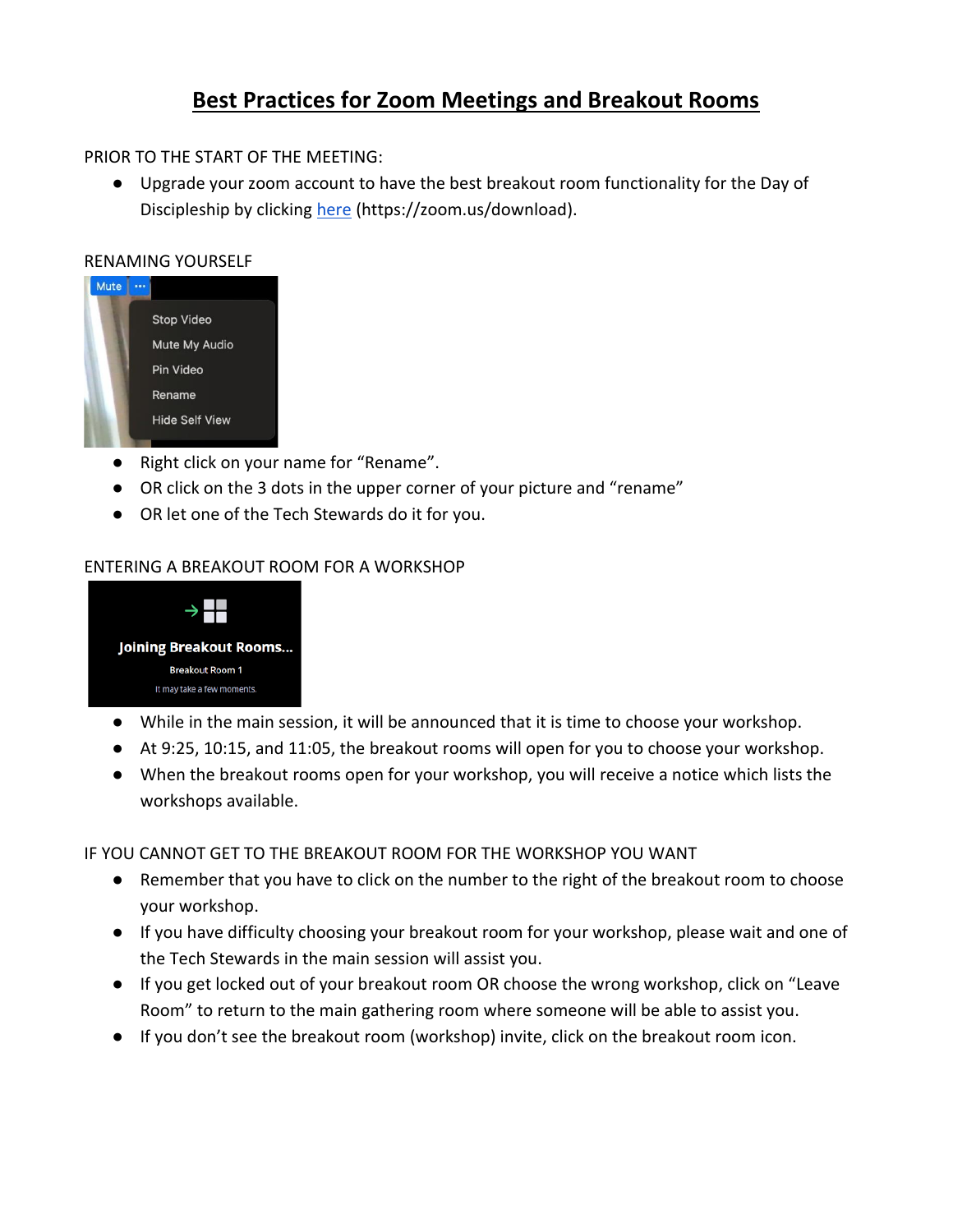# **Best Practices for Zoom Meetings and Breakout Rooms**

## PRIOR TO THE START OF THE MEETING:

● Upgrade your zoom account to have the best breakout room functionality for the Day of Discipleship by clicking [here](https://zoom.us/download) (https://zoom.us/download).

#### RENAMING YOURSELF



- Right click on your name for "Rename".
- OR click on the 3 dots in the upper corner of your picture and "rename"
- OR let one of the Tech Stewards do it for you.

## ENTERING A BREAKOUT ROOM FOR A WORKSHOP



- While in the main session, it will be announced that it is time to choose your workshop.
- At 9:25, 10:15, and 11:05, the breakout rooms will open for you to choose your workshop.
- When the breakout rooms open for your workshop, you will receive a notice which lists the workshops available.

#### IF YOU CANNOT GET TO THE BREAKOUT ROOM FOR THE WORKSHOP YOU WANT

- Remember that you have to click on the number to the right of the breakout room to choose your workshop.
- If you have difficulty choosing your breakout room for your workshop, please wait and one of the Tech Stewards in the main session will assist you.
- If you get locked out of your breakout room OR choose the wrong workshop, click on "Leave Room" to return to the main gathering room where someone will be able to assist you.
- If you don't see the breakout room (workshop) invite, click on the breakout room icon.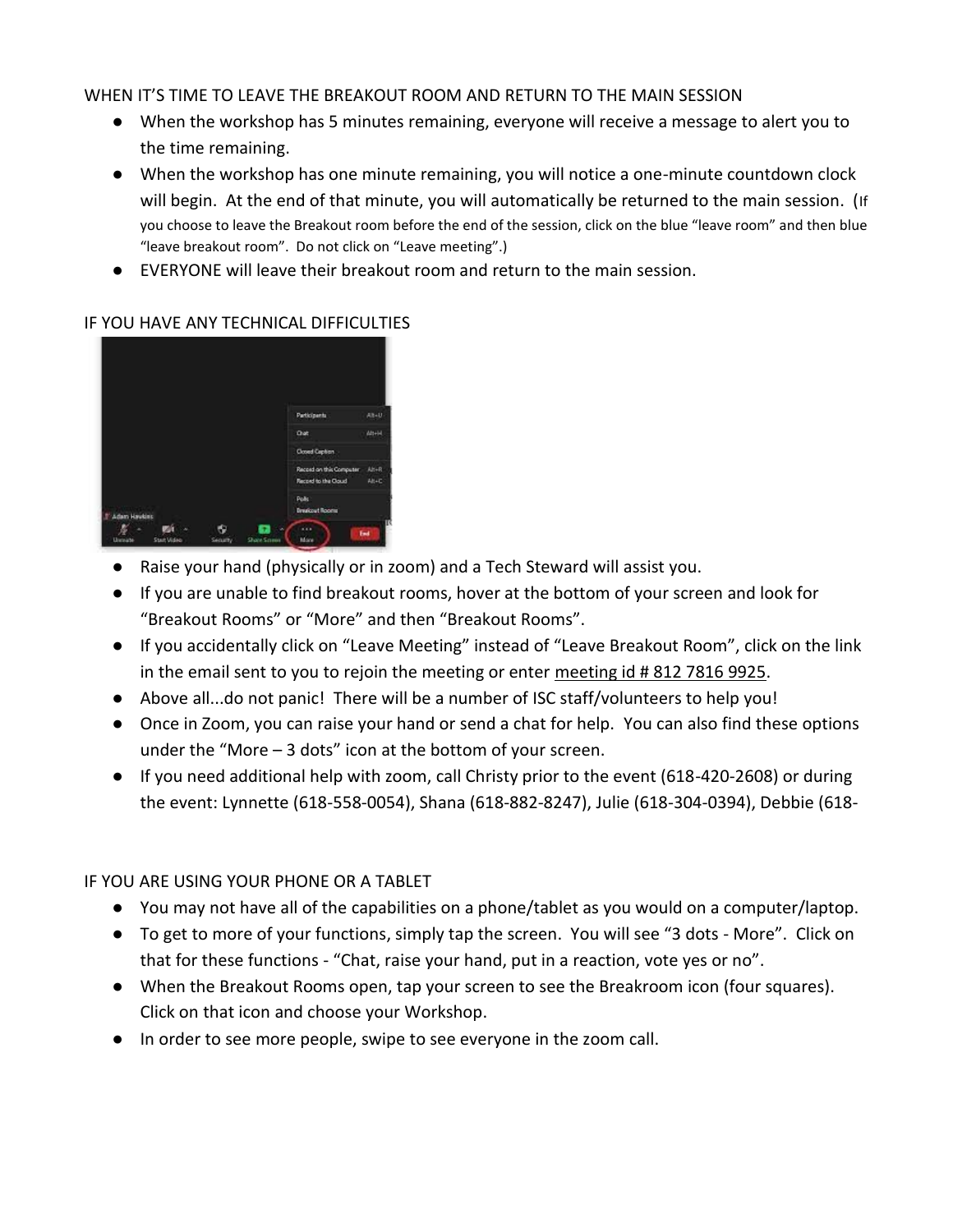## WHEN IT'S TIME TO LEAVE THE BREAKOUT ROOM AND RETURN TO THE MAIN SESSION

- When the workshop has 5 minutes remaining, everyone will receive a message to alert you to the time remaining.
- When the workshop has one minute remaining, you will notice a one-minute countdown clock will begin. At the end of that minute, you will automatically be returned to the main session. (If you choose to leave the Breakout room before the end of the session, click on the blue "leave room" and then blue "leave breakout room". Do not click on "Leave meeting".)
- EVERYONE will leave their breakout room and return to the main session.

## IF YOU HAVE ANY TECHNICAL DIFFICULTIES



- Raise your hand (physically or in zoom) and a Tech Steward will assist you.
- If you are unable to find breakout rooms, hover at the bottom of your screen and look for "Breakout Rooms" or "More" and then "Breakout Rooms".
- If you accidentally click on "Leave Meeting" instead of "Leave Breakout Room", click on the link in the email sent to you to rejoin the meeting or enter meeting id # 812 7816 9925.
- Above all...do not panic! There will be a number of ISC staff/volunteers to help you!
- Once in Zoom, you can raise your hand or send a chat for help. You can also find these options under the "More  $-3$  dots" icon at the bottom of your screen.
- If you need additional help with zoom, call Christy prior to the event (618-420-2608) or during the event: Lynnette (618-558-0054), Shana (618-882-8247), Julie (618-304-0394), Debbie (618-

## IF YOU ARE USING YOUR PHONE OR A TABLET

- You may not have all of the capabilities on a phone/tablet as you would on a computer/laptop.
- To get to more of your functions, simply tap the screen. You will see "3 dots More". Click on that for these functions - "Chat, raise your hand, put in a reaction, vote yes or no".
- When the Breakout Rooms open, tap your screen to see the Breakroom icon (four squares). Click on that icon and choose your Workshop.
- In order to see more people, swipe to see everyone in the zoom call.